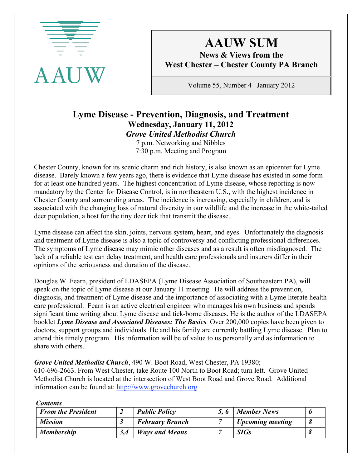

# **AAUW SUM**

**News & Views from the West Chester – Chester County PA Branch**

Volume 55, Number 4 January 2012

### **Lyme Disease - Prevention, Diagnosis, and Treatment Wednesday, January 11, 2012** *Grove United Methodist Church*

7 p.m. Networking and Nibbles 7:30 p.m. Meeting and Program

Chester County, known for its scenic charm and rich history, is also known as an epicenter for Lyme disease. Barely known a few years ago, there is evidence that Lyme disease has existed in some form for at least one hundred years. The highest concentration of Lyme disease, whose reporting is now mandatory by the Center for Disease Control, is in northeastern U.S., with the highest incidence in Chester County and surrounding areas. The incidence is increasing, especially in children, and is associated with the changing loss of natural diversity in our wildlife and the increase in the white-tailed deer population, a host for the tiny deer tick that transmit the disease.

Lyme disease can affect the skin, joints, nervous system, heart, and eyes. Unfortunately the diagnosis and treatment of Lyme disease is also a topic of controversy and conflicting professional differences. The symptoms of Lyme disease may mimic other diseases and as a result is often misdiagnosed. The lack of a reliable test can delay treatment, and health care professionals and insurers differ in their opinions of the seriousness and duration of the disease.

Douglas W. Fearn, president of LDASEPA (Lyme Disease Association of Southeastern PA), will speak on the topic of Lyme disease at our January 11 meeting. He will address the prevention, diagnosis, and treatment of Lyme disease and the importance of associating with a Lyme literate health care professional. Fearn is an active electrical engineer who manages his own business and spends significant time writing about Lyme disease and tick-borne diseases. He is the author of the LDASEPA booklet *Lyme Disease and Associated Diseases: The Basics.* Over 200,000 copies have been given to doctors, support groups and individuals. He and his family are currently battling Lyme disease. Plan to attend this timely program. His information will be of value to us personally and as information to share with others.

*Grove United Methodist Church*, 490 W. Boot Road, West Chester, PA 19380;

610-696-2663. From West Chester, take Route 100 North to Boot Road; turn left. Grove United Methodist Church is located at the intersection of West Boot Road and Grove Road. Additional information can be found at: http://www.grovechurch.org

| <b>From the President</b> | <b>Public Policy</b>   | 5.6 | <b>Member News</b>      |  |
|---------------------------|------------------------|-----|-------------------------|--|
| <b>Mission</b>            | <b>February Brunch</b> |     | <b>Upcoming meeting</b> |  |
| <b>Membership</b>         | <b>Ways and Means</b>  |     | <b>SIGs</b>             |  |

*Contents*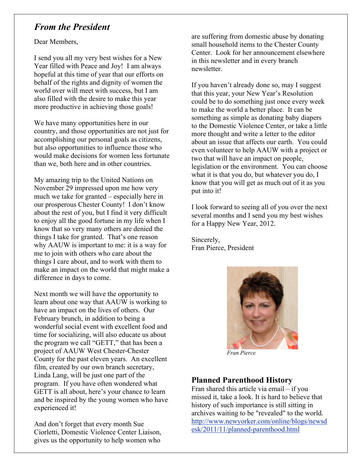### *From the President*

Dear Members,

I send you all my very best wishes for a New Year filled with Peace and Joy! I am always hopeful at this time of year that our efforts on behalf of the rights and dignity of women the world over will meet with success, but I am also filled with the desire to make this year more productive in achieving those goals!

We have many opportunities here in our country, and those opportunities are not just for accomplishing our personal goals as citizens, but also opportunities to influence those who would make decisions for women less fortunate than we, both here and in other countries.

My amazing trip to the United Nations on November 29 impressed upon me how very much we take for granted – especially here in our prosperous Chester County! I don't know about the rest of you, but I find it very difficult to enjoy all the good fortune in my life when I know that so very many others are denied the things I take for granted. That's one reason why AAUW is important to me: it is a way for me to join with others who care about the things I care about, and to work with them to make an impact on the world that might make a difference in days to come.

Next month we will have the opportunity to learn about one way that AAUW is working to have an impact on the lives of others. Our February brunch, in addition to being a wonderful social event with excellent food and time for socializing, will also educate us about the program we call "GETT," that has been a project of AAUW West Chester-Chester County for the past eleven years. An excellent film, created by our own branch secretary, Linda Lang, will be just one part of the program. If you have often wondered what GETT is all about, here's your chance to learn and be inspired by the young women who have experienced it!

And don't forget that every month Sue Ciorletti, Domestic Violence Center Liaison, gives us the opportunity to help women who

are suffering from domestic abuse by donating small household items to the Chester County Center. Look for her announcement elsewhere in this newsletter and in every branch newsletter.

If you haven't already done so, may I suggest that this year, your New Year's Resolution could be to do something just once every week to make the world a better place. It can be something as simple as donating baby diapers to the Domestic Violence Center, or take a little more thought and write a letter to the editor about an issue that affects our earth. You could even volunteer to help AAUW with a project or two that will have an impact on people, legislation or the environment. You can choose what it is that you do, but whatever you do, I know that you will get as much out of it as you put into it!

I look forward to seeing all of you over the next several months and I send you my best wishes for a Happy New Year, 2012.

Sincerely, Fran Pierce, President



 *Fran Pierce*

### **Planned Parenthood History**

Fran shared this article via email – if you missed it, take a look. It is hard to believe that history of such importance is still sitting in archives waiting to be "revealed" to the world. http://www.newyorker.com/online/blogs/newsd esk/2011/11/planned-parenthood.html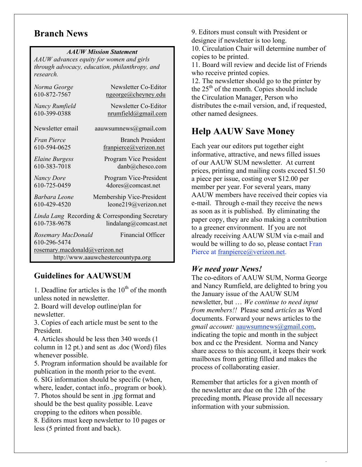### **Branch News**

#### *AAUW Mission Statement*

*AAUW advances equity for women and girls through advocacy, education, philanthropy, and research.*

| Newsletter Co-Editor<br>nrumfield@gmail.com                                             |  |  |  |  |  |  |
|-----------------------------------------------------------------------------------------|--|--|--|--|--|--|
| aauwsumnews@gmail.com                                                                   |  |  |  |  |  |  |
|                                                                                         |  |  |  |  |  |  |
| Program Vice President<br>danb@chesco.com                                               |  |  |  |  |  |  |
| Program Vice-President                                                                  |  |  |  |  |  |  |
| Membership Vice-President<br>leone219@verizon.net                                       |  |  |  |  |  |  |
| Linda Lang Recording & Corresponding Secretary<br>lindalang@comcast.net<br>610-738-9678 |  |  |  |  |  |  |
|                                                                                         |  |  |  |  |  |  |
| rosemary.macdonald@verizon.net<br>http://www.aauwchestercountypa.org                    |  |  |  |  |  |  |
| <b>Branch President</b><br>franpierce@verizon.net<br><b>Financial Officer</b>           |  |  |  |  |  |  |

### **Guidelines for AAUWSUM**

1. Deadline for articles is the  $10<sup>th</sup>$  of the month unless noted in newsletter.

2. Board will develop outline/plan for newsletter.

3. Copies of each article must be sent to the President.

4. Articles should be less then 340 words (1 column in 12 pt.) and sent as .doc (Word) files whenever possible.

5. Program information should be available for publication in the month prior to the event. 6. SIG information should be specific (when,

where, leader, contact info., program or book). 7. Photos should be sent in .jpg format and should be the best quality possible. Leave

cropping to the editors when possible. 8. Editors must keep newsletter to 10 pages or

less (5 printed front and back).

9. Editors must consult with President or designee if newsletter is too long.

10. Circulation Chair will determine number of copies to be printed.

11. Board will review and decide list of Friends who receive printed copies.

12. The newsletter should go to the printer by the  $25<sup>th</sup>$  of the month. Copies should include the Circulation Manager, Person who distributes the e-mail version, and, if requested, other named designees.

### **Help AAUW Save Money**

Each year our editors put together eight informative, attractive, and news filled issues of our AAUW SUM newsletter. At current prices, printing and mailing costs exceed \$1.50 a piece per issue, costing over \$12.00 per member per year. For several years, many AAUW members have received their copies via e-mail. Through e-mail they receive the news as soon as it is published. By eliminating the paper copy, they are also making a contribution to a greener environment. If you are not already receiving AAUW SUM via e-mail and would be willing to do so, please contact Fran Pierce at franpierce@verizon.net.

### *We need your News!*

The co-editors of AAUW SUM, Norma George and Nancy Rumfield, are delighted to bring you the January issue of the AAUW SUM newsletter, but … *We continue to need input from members!!* Please send *articles* as Word documents. Forward your news articles to the *gmail account:* aauwsumnews@gmail.com, indicating the topic and month in the subject box and cc the President. Norma and Nancy share access to this account, it keeps their work mailboxes from getting filled and makes the process of collaborating easier.

Remember that articles for a given month of the newsletter are due on the 12th of the preceding month*.* Please provide all necessary information with your submission.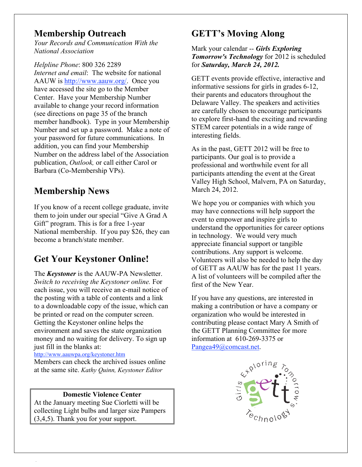### **Membership Outreach**

*Your Records and Communication With the National Association*

*Helpline Phone*: 800 326 2289 *Internet and email*: The website for national AAUW is http://www.aauw.org/. Once you have accessed the site go to the Member Center. Have your Membership Number available to change your record information (see directions on page 35 of the branch member handbook). Type in your Membership Number and set up a password. Make a note of your password for future communications. In addition, you can find your Membership Number on the address label of the Association publication, *Outlook,* or call either Carol or Barbara (Co-Membership VPs).

# **Membership News**

If you know of a recent college graduate, invite them to join under our special "Give A Grad A Gift" program. This is for a free 1-year National membership. If you pay \$26, they can become a branch/state member.

# **Get Your Keystoner Online!**

The *Keystoner* is the AAUW-PA Newsletter. *Switch to receiving the Keystoner online.* For each issue, you will receive an e-mail notice of the posting with a table of contents and a link to a downloadable copy of the issue, which can be printed or read on the computer screen. Getting the Keystoner online helps the environment and saves the state organization money and no waiting for delivery. To sign up just fill in the blanks at:

http://www.aauwpa.org/keystoner.htm

Members can check the archived issues online at the same site. *Kathy Quinn, Keystoner Editor*

#### **Domestic Violence Center**

At the January meeting Sue Ciorletti will be collecting Light bulbs and larger size Pampers (3,4,5). Thank you for your support.

# **GETT's Moving Along**

Mark your calendar -- *Girls Exploring Tomorrow's Technology* for 2012 is scheduled for *Saturday, March 24, 2012.*

GETT events provide effective, interactive and informative sessions for girls in grades 6-12, their parents and educators throughout the Delaware Valley. The speakers and activities are carefully chosen to encourage participants to explore first-hand the exciting and rewarding STEM career potentials in a wide range of interesting fields.

As in the past, GETT 2012 will be free to participants. Our goal is to provide a professional and worthwhile event for all participants attending the event at the Great Valley High School, Malvern, PA on Saturday, March 24, 2012.

We hope you or companies with which you may have connections will help support the event to empower and inspire girls to understand the opportunities for career options in technology. We would very much appreciate financial support or tangible contributions. Any support is welcome. Volunteers will also be needed to help the day of GETT as AAUW has for the past 11 years. A list of volunteers will be compiled after the first of the New Year.

If you have any questions, are interested in making a contribution or have a company or organization who would be interested in contributing please contact Mary A Smith of the GETT Planning Committee for more information at 610-269-3375 or Pangea49@comcast.net.

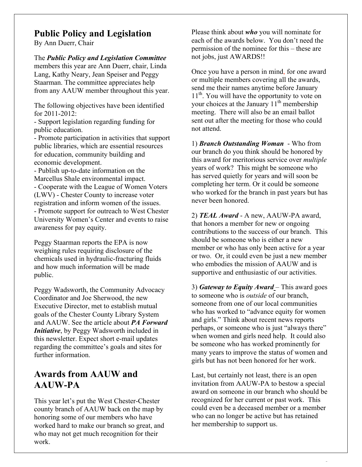### **Public Policy and Legislation**

By Ann Duerr, Chair

The *Public Policy and Legislation Committee* members this year are Ann Duerr, chair, Linda Lang, Kathy Neary, Jean Speiser and Peggy Staarman. The committee appreciates help from any AAUW member throughout this year.

The following objectives have been identified for 2011-2012:

- Support legislation regarding funding for public education.

- Promote participation in activities that support public libraries, which are essential resources for education, community building and economic development.

- Publish up-to-date information on the Marcellus Shale environmental impact. - Cooperate with the League of Women Voters (LWV) - Chester County to increase voter registration and inform women of the issues. - Promote support for outreach to West Chester University Women's Center and events to raise awareness for pay equity.

Peggy Staarman reports the EPA is now weighing rules requiring disclosure of the chemicals used in hydraulic-fracturing fluids and how much information will be made public.

Peggy Wadsworth, the Community Advocacy Coordinator and Joe Sherwood, the new Executive Director, met to establish mutual goals of the Chester County Library System and AAUW. See the article about *PA Forward Initiative*, by Peggy Wadsworth included in this newsletter. Expect short e-mail updates regarding the committee's goals and sites for further information.

### **Awards from AAUW and AAUW-PA**

This year let's put the West Chester-Chester county branch of AAUW back on the map by honoring some of our members who have worked hard to make our branch so great, and who may not get much recognition for their work.

Please think about *who* you will nominate for each of the awards below. You don't need the permission of the nominee for this – these are not jobs, just AWARDS!!

Once you have a person in mind, for one award or multiple members covering all the awards, send me their names anytime before January  $11<sup>th</sup>$ . You will have the opportunity to vote on your choices at the January  $11<sup>th</sup>$  membership meeting. There will also be an email ballot sent out after the meeting for those who could not attend.

1) *Branch Outstanding Woman* - Who from our branch do you think should be honored by this award for meritorious service over *multiple* years of work? This might be someone who has served quietly for years and will soon be completing her term. Or it could be someone who worked for the branch in past years but has never been honored.

2) *TEAL Award* - A new, AAUW-PA award, that honors a member for new or ongoing contributions to the success of our branch. This should be someone who is either a new member or who has only been active for a year or two. Or, it could even be just a new member who embodies the mission of AAUW and is supportive and enthusiastic of our activities.

3) *Gateway to Equity Award* – This award goes to someone who is *outside* of our branch, someone from one of our local communities who has worked to "advance equity for women and girls." Think about recent news reports perhaps, or someone who is just "always there" when women and girls need help. It could also be someone who has worked prominently for many years to improve the status of women and girls but has not been honored for her work.

Last, but certainly not least, there is an open invitation from AAUW-PA to bestow a special award on someone in our branch who should be recognized for her current or past work. This could even be a deceased member or a member who can no longer be active but has retained her membership to support us.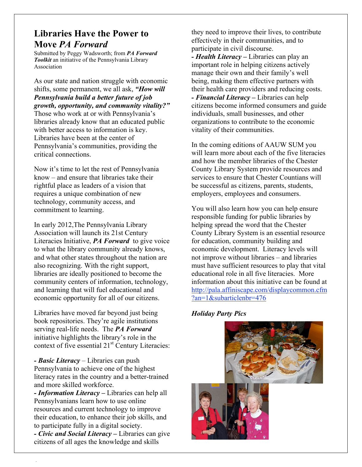### **Libraries Have the Power to Move** *PA Forward*

Submitted by Peggy Wadsworth; from *PA Forward Toolkit* an initiative of the Pennsylvania Library Association

As our state and nation struggle with economic shifts, some permanent, we all ask, *"How will Pennsylvania build a better future of job growth, opportunity, and community vitality?"*  Those who work at or with Pennsylvania's libraries already know that an educated public with better access to information is key. Libraries have been at the center of Pennsylvania's communities, providing the critical connections.

Now it's time to let the rest of Pennsylvania know – and ensure that libraries take their rightful place as leaders of a vision that requires a unique combination of new technology, community access, and commitment to learning.

In early 2012,The Pennsylvania Library Association will launch its 21st Century Literacies Initiative, *PA Forward* to give voice to what the library community already knows, and what other states throughout the nation are also recognizing. With the right support, libraries are ideally positioned to become the community centers of information, technology, and learning that will fuel educational and economic opportunity for all of our citizens.

Libraries have moved far beyond just being book repositories. They're agile institutions serving real-life needs. The *PA Forward* initiative highlights the library's role in the context of five essential  $21<sup>st</sup>$  Century Literacies:

*- Basic Literacy* – Libraries can push Pennsylvania to achieve one of the highest literacy rates in the country and a better-trained and more skilled workforce.

*- Information Literacy* **–** Libraries can help all Pennsylvanians learn how to use online resources and current technology to improve their education, to enhance their job skills, and to participate fully in a digital society.

*- Civic and Social Literacy* **–** Libraries can give citizens of all ages the knowledge and skills

they need to improve their lives, to contribute effectively in their communities, and to participate in civil discourse. *- Health Literacy* **–** Libraries can play an important role in helping citizens actively manage their own and their family's well being, making them effective partners with their health care providers and reducing costs. *- Financial Literacy* **–** Libraries can help citizens become informed consumers and guide individuals, small businesses, and other

organizations to contribute to the economic vitality of their communities.

In the coming editions of AAUW SUM you will learn more about each of the five literacies and how the member libraries of the Chester County Library System provide resources and services to ensure that Chester Countians will be successful as citizens, parents, students, employers, employees and consumers.

You will also learn how you can help ensure responsible funding for public libraries by helping spread the word that the Chester County Library System is an essential resource for education, community building and economic development. Literacy levels will not improve without libraries – and libraries must have sufficient resources to play that vital educational role in all five literacies. More information about this initiative can be found at http://pala.affiniscape.com/displaycommon.cfm ?an=1&subarticlenbr=476

#### *Holiday Party Pics*

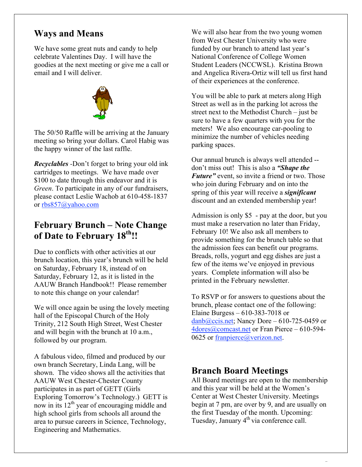### **Ways and Means**

We have some great nuts and candy to help celebrate Valentines Day. I will have the goodies at the next meeting or give me a call or email and I will deliver.



The 50/50 Raffle will be arriving at the January meeting so bring your dollars. Carol Habig was the happy winner of the last raffle.

*Recyclables -*Don't forget to bring your old ink cartridges to meetings. We have made over \$100 to date through this endeavor and it is *Green*. To participate in any of our fundraisers, please contact Leslie Wachob at 610-458-1837 or rbs857@yahoo.com

### **February Brunch – Note Change**  of Date to February  $18^{th}$ !!

Due to conflicts with other activities at our brunch location, this year's brunch will be held on Saturday, February 18, instead of on Saturday, February 12, as it is listed in the AAUW Branch Handbook!! Please remember to note this change on your calendar!

We will once again be using the lovely meeting hall of the Episcopal Church of the Holy Trinity, 212 South High Street, West Chester and will begin with the brunch at 10 a.m., followed by our program.

A fabulous video, filmed and produced by our own branch Secretary, Linda Lang, will be shown. The video shows all the activities that AAUW West Chester-Chester County participates in as part of GETT (Girls Exploring Tomorrow's Technology.) GETT is now in its  $12<sup>th</sup>$  year of encouraging middle and high school girls from schools all around the area to pursue careers in Science, Technology, Engineering and Mathematics.

We will also hear from the two young women from West Chester University who were funded by our branch to attend last year's National Conference of College Women Student Leaders (NCCWSL). Kristina Brown and Angelica Rivera-Ortiz will tell us first hand of their experiences at the conference.

You will be able to park at meters along High Street as well as in the parking lot across the street next to the Methodist Church – just be sure to have a few quarters with you for the meters! We also encourage car-pooling to minimize the number of vehicles needing parking spaces.

Our annual brunch is always well attended - don't miss out! This is also a *"Shape the Future"* event, so invite a friend or two. Those who join during February and on into the spring of this year will receive a *significant* discount and an extended membership year!

Admission is only \$5 - pay at the door, but you must make a reservation no later than Friday, February 10! We also ask all members to provide something for the brunch table so that the admission fees can benefit our programs. Breads, rolls, yogurt and egg dishes are just a few of the items we've enjoyed in previous years. Complete information will also be printed in the February newsletter.

To RSVP or for answers to questions about the brunch, please contact one of the following: Elaine Burgess – 610-383-7018 or  $danh(Qccis.net;$  Nancy Dore – 610-725-0459 or 4dores@comcast.net or Fran Pierce – 610-594- 0625 or franpierce@verizon.net.

### **Branch Board Meetings**

All Board meetings are open to the membership and this year will be held at the Women's Center at West Chester University. Meetings begin at 7 pm, are over by 9, and are usually on the first Tuesday of the month. Upcoming: Tuesday, January 4<sup>th</sup> via conference call.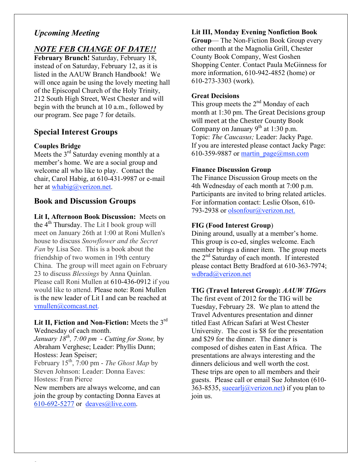### *Upcoming Meeting*

### *NOTE FEB CHANGE OF DATE!!*

**February Brunch!** Saturday, February 18, instead of on Saturday, February 12, as it is listed in the AAUW Branch Handbook! We will once again be using the lovely meeting hall of the Episcopal Church of the Holy Trinity, 212 South High Street, West Chester and will begin with the brunch at 10 a.m., followed by our program. See page 7 for details.

#### **Special Interest Groups**

#### **Couples Bridge**

Meets the  $3<sup>rd</sup>$  Saturday evening monthly at a member's home. We are a social group and welcome all who like to play. Contact the chair, Carol Habig, at 610-431-9987 or e-mail her at whabig@verizon.net.

#### **Book and Discussion Groups**

**Lit I, Afternoon Book Discussion:** Meets on the  $4<sup>th</sup>$  Thursday. The Lit I book group will meet on January 26th at 1:00 at Roni Mullen's house to discuss *Snowflower and the Secret Fan* by Lisa See. This is a book about the friendship of two women in 19th century China. The group will meet again on February 23 to discuss *Blessings* by Anna Quinlan. Please call Roni Mullen at 610-436-0912 if you would like to attend. Please note: Roni Mullen is the new leader of Lit I and can be reached at vmullen@comcast.net.

Lit II, Fiction and Non-Fiction: Meets the 3<sup>rd</sup> Wednesday of each month.

*January 18th, 7:00 pm - Cutting for Stone,* by Abraham Verghese; Leader: Phyllis Dunn; Hostess: Jean Speiser;

February 15th, 7:00 pm - *The Ghost Map* by Steven Johnson: Leader: Donna Eaves: Hostess: Fran Pierce

New members are always welcome, and can join the group by contacting Donna Eaves at 610-692-5277 or deaves@live.com.

#### **Lit III, Monday Evening Nonfiction Book**

**Group**— The Non-Fiction Book Group every other month at the Magnolia Grill, Chester County Book Company, West Goshen Shopping Center. Contact Paula McGinness for more information, 610-942-4852 (home) or 610-273-3303 (work).

#### **Great Decisions**

This group meets the  $2<sup>nd</sup>$  Monday of each month at 1:30 pm. The Great Decisions group will meet at the Chester County Book Company on January  $9^{th}$  at 1:30 p.m. Topic: *The Caucasus;* Leader: Jacky Page. If you are interested please contact Jacky Page: 610-359-9887 or martin  $page@mmn.com$ 

#### **Finance Discussion Group**

The Finance Discussion Group meets on the 4th Wednesday of each month at 7:00 p.m. Participants are invited to bring related articles. For information contact: Leslie Olson, 610- 793-2938 or olsonfour@verizon.net.

#### **FIG (Food Interest Group**)

Dining around, usually at a member's home. This group is co-ed, singles welcome. Each member brings a dinner item. The group meets the  $2<sup>nd</sup>$  Saturday of each month. If interested please contact Betty Bradford at 610-363-7974; wdbrad@verizon.net

#### **TIG (Travel Interest Group):** *AAUW TIGers*

The first event of 2012 for the TIG will be Tuesday, February 28. We plan to attend the Travel Adventures presentation and dinner titled East African Safari at West Chester University. The cost is \$8 for the presentation and \$29 for the dinner. The dinner is composed of dishes eaten in East Africa. The presentations are always interesting and the dinners delicious and well worth the cost. These trips are open to all members and their guests. Please call or email Sue Johnston (610- 363-8535, sueearlj@verizon.net) if you plan to join us.